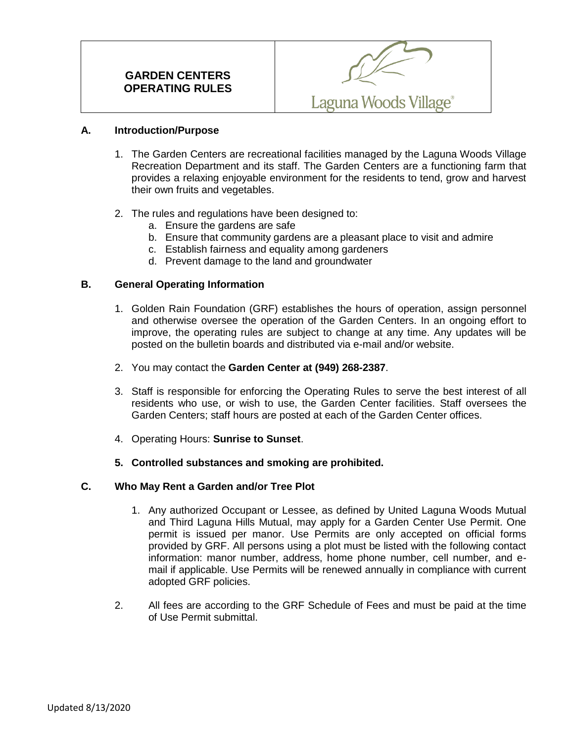

### **A. Introduction/Purpose**

- 1. The Garden Centers are recreational facilities managed by the Laguna Woods Village Recreation Department and its staff. The Garden Centers are a functioning farm that provides a relaxing enjoyable environment for the residents to tend, grow and harvest their own fruits and vegetables.
- 2. The rules and regulations have been designed to:
	- a. Ensure the gardens are safe
	- b. Ensure that community gardens are a pleasant place to visit and admire
	- c. Establish fairness and equality among gardeners
	- d. Prevent damage to the land and groundwater

### **B. General Operating Information**

- 1. Golden Rain Foundation (GRF) establishes the hours of operation, assign personnel and otherwise oversee the operation of the Garden Centers. In an ongoing effort to improve, the operating rules are subject to change at any time. Any updates will be posted on the bulletin boards and distributed via e-mail and/or website.
- 2. You may contact the **Garden Center at (949) 268-2387**.
- 3. Staff is responsible for enforcing the Operating Rules to serve the best interest of all residents who use, or wish to use, the Garden Center facilities. Staff oversees the Garden Centers; staff hours are posted at each of the Garden Center offices.
- 4. Operating Hours: **Sunrise to Sunset**.
- **5. Controlled substances and smoking are prohibited.**

#### **C. Who May Rent a Garden and/or Tree Plot**

- 1. Any authorized Occupant or Lessee, as defined by United Laguna Woods Mutual and Third Laguna Hills Mutual, may apply for a Garden Center Use Permit. One permit is issued per manor. Use Permits are only accepted on official forms provided by GRF. All persons using a plot must be listed with the following contact information: manor number, address, home phone number, cell number, and email if applicable. Use Permits will be renewed annually in compliance with current adopted GRF policies.
- 2. All fees are according to the GRF Schedule of Fees and must be paid at the time of Use Permit submittal.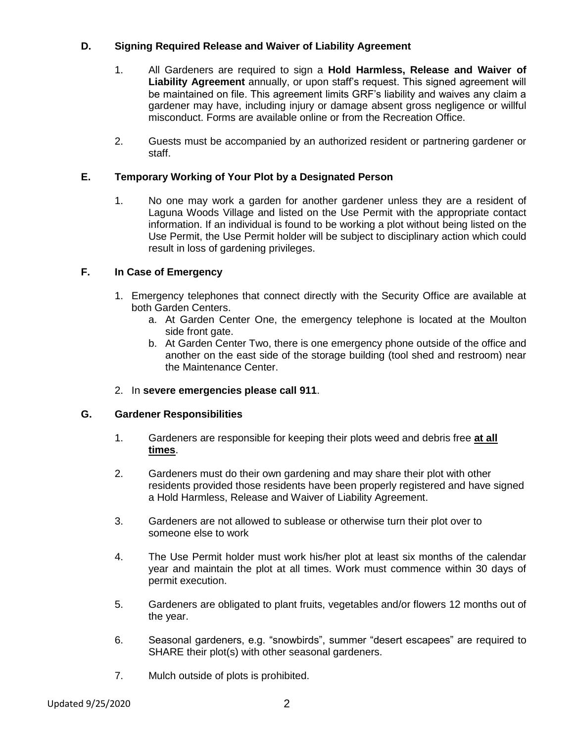## **D. Signing Required Release and Waiver of Liability Agreement**

- 1. All Gardeners are required to sign a **Hold Harmless, Release and Waiver of Liability Agreement** annually, or upon staff's request. This signed agreement will be maintained on file. This agreement limits GRF's liability and waives any claim a gardener may have, including injury or damage absent gross negligence or willful misconduct. Forms are available online or from the Recreation Office.
- 2. Guests must be accompanied by an authorized resident or partnering gardener or staff.

# **E. Temporary Working of Your Plot by a Designated Person**

1. No one may work a garden for another gardener unless they are a resident of Laguna Woods Village and listed on the Use Permit with the appropriate contact information. If an individual is found to be working a plot without being listed on the Use Permit, the Use Permit holder will be subject to disciplinary action which could result in loss of gardening privileges.

# **F. In Case of Emergency**

- 1. Emergency telephones that connect directly with the Security Office are available at both Garden Centers.
	- a. At Garden Center One, the emergency telephone is located at the Moulton side front gate.
	- b. At Garden Center Two, there is one emergency phone outside of the office and another on the east side of the storage building (tool shed and restroom) near the Maintenance Center.
- 2. In **severe emergencies please call 911**.

### **G. Gardener Responsibilities**

- 1. Gardeners are responsible for keeping their plots weed and debris free **at all times**.
- 2. Gardeners must do their own gardening and may share their plot with other residents provided those residents have been properly registered and have signed a Hold Harmless, Release and Waiver of Liability Agreement.
- 3. Gardeners are not allowed to sublease or otherwise turn their plot over to someone else to work
- 4. The Use Permit holder must work his/her plot at least six months of the calendar year and maintain the plot at all times. Work must commence within 30 days of permit execution.
- 5. Gardeners are obligated to plant fruits, vegetables and/or flowers 12 months out of the year.
- 6. Seasonal gardeners, e.g. "snowbirds", summer "desert escapees" are required to SHARE their plot(s) with other seasonal gardeners.
- 7. Mulch outside of plots is prohibited.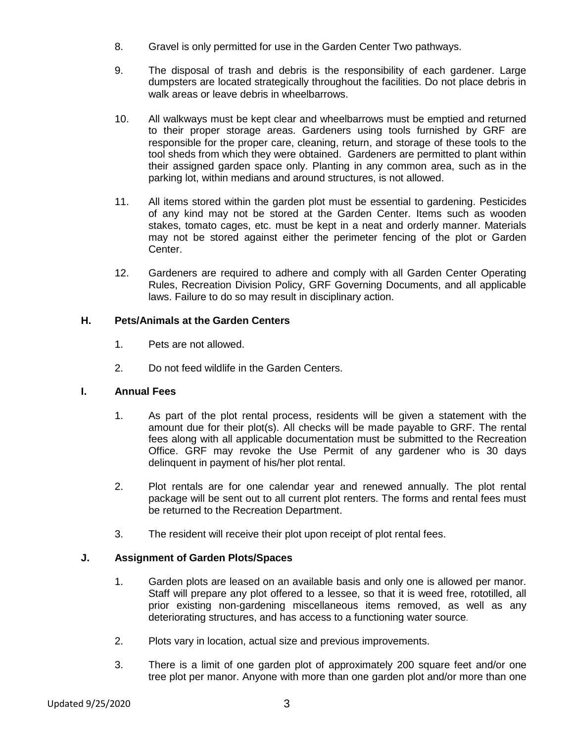- 8. Gravel is only permitted for use in the Garden Center Two pathways.
- 9. The disposal of trash and debris is the responsibility of each gardener. Large dumpsters are located strategically throughout the facilities. Do not place debris in walk areas or leave debris in wheelbarrows.
- 10. All walkways must be kept clear and wheelbarrows must be emptied and returned to their proper storage areas. Gardeners using tools furnished by GRF are responsible for the proper care, cleaning, return, and storage of these tools to the tool sheds from which they were obtained. Gardeners are permitted to plant within their assigned garden space only. Planting in any common area, such as in the parking lot, within medians and around structures, is not allowed.
- 11. All items stored within the garden plot must be essential to gardening. Pesticides of any kind may not be stored at the Garden Center. Items such as wooden stakes, tomato cages, etc. must be kept in a neat and orderly manner. Materials may not be stored against either the perimeter fencing of the plot or Garden Center.
- 12. Gardeners are required to adhere and comply with all Garden Center Operating Rules, Recreation Division Policy, GRF Governing Documents, and all applicable laws. Failure to do so may result in disciplinary action.

# **H. Pets/Animals at the Garden Centers**

- 1. Pets are not allowed.
- 2. Do not feed wildlife in the Garden Centers.

### **I. Annual Fees**

- 1. As part of the plot rental process, residents will be given a statement with the amount due for their plot(s). All checks will be made payable to GRF. The rental fees along with all applicable documentation must be submitted to the Recreation Office. GRF may revoke the Use Permit of any gardener who is 30 days delinquent in payment of his/her plot rental.
- 2. Plot rentals are for one calendar year and renewed annually. The plot rental package will be sent out to all current plot renters. The forms and rental fees must be returned to the Recreation Department.
- 3. The resident will receive their plot upon receipt of plot rental fees.

# **J. Assignment of Garden Plots/Spaces**

- 1. Garden plots are leased on an available basis and only one is allowed per manor. Staff will prepare any plot offered to a lessee, so that it is weed free, rototilled, all prior existing non-gardening miscellaneous items removed, as well as any deteriorating structures, and has access to a functioning water source.
- 2. Plots vary in location, actual size and previous improvements.
- 3. There is a limit of one garden plot of approximately 200 square feet and/or one tree plot per manor. Anyone with more than one garden plot and/or more than one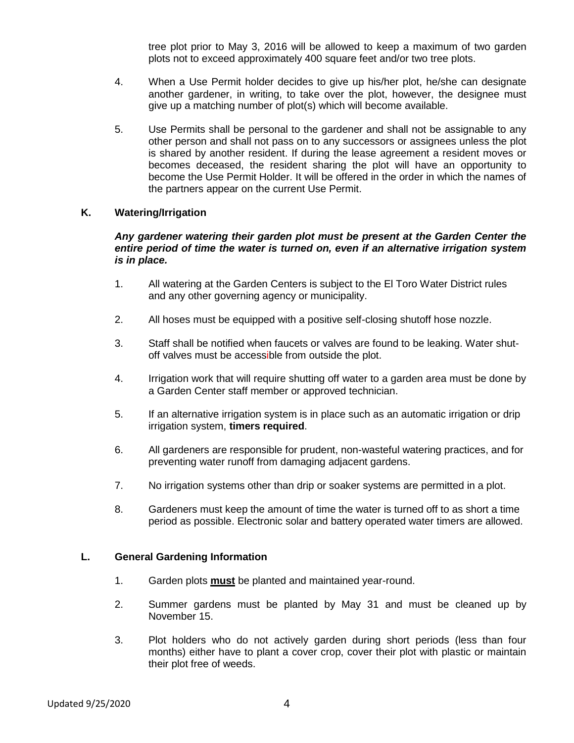tree plot prior to May 3, 2016 will be allowed to keep a maximum of two garden plots not to exceed approximately 400 square feet and/or two tree plots.

- 4. When a Use Permit holder decides to give up his/her plot, he/she can designate another gardener, in writing, to take over the plot, however, the designee must give up a matching number of plot(s) which will become available.
- 5. Use Permits shall be personal to the gardener and shall not be assignable to any other person and shall not pass on to any successors or assignees unless the plot is shared by another resident. If during the lease agreement a resident moves or becomes deceased, the resident sharing the plot will have an opportunity to become the Use Permit Holder. It will be offered in the order in which the names of the partners appear on the current Use Permit.

#### **K. Watering/Irrigation**

#### *Any gardener watering their garden plot must be present at the Garden Center the entire period of time the water is turned on, even if an alternative irrigation system is in place.*

- 1. All watering at the Garden Centers is subject to the El Toro Water District rules and any other governing agency or municipality.
- 2. All hoses must be equipped with a positive self-closing shutoff hose nozzle.
- 3. Staff shall be notified when faucets or valves are found to be leaking. Water shutoff valves must be accessible from outside the plot.
- 4. Irrigation work that will require shutting off water to a garden area must be done by a Garden Center staff member or approved technician.
- 5. If an alternative irrigation system is in place such as an automatic irrigation or drip irrigation system, **timers required**.
- 6. All gardeners are responsible for prudent, non-wasteful watering practices, and for preventing water runoff from damaging adjacent gardens.
- 7. No irrigation systems other than drip or soaker systems are permitted in a plot.
- 8. Gardeners must keep the amount of time the water is turned off to as short a time period as possible. Electronic solar and battery operated water timers are allowed.

#### **L. General Gardening Information**

- 1. Garden plots **must** be planted and maintained year-round.
- 2. Summer gardens must be planted by May 31 and must be cleaned up by November 15.
- 3. Plot holders who do not actively garden during short periods (less than four months) either have to plant a cover crop, cover their plot with plastic or maintain their plot free of weeds.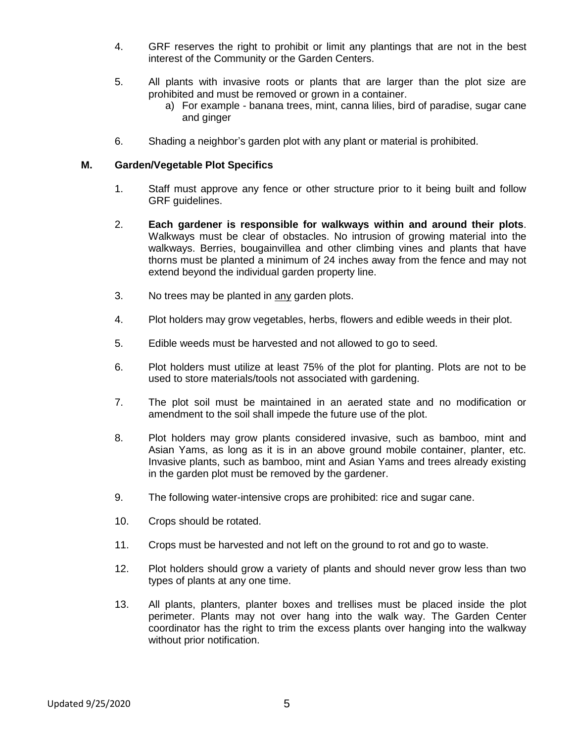- 4. GRF reserves the right to prohibit or limit any plantings that are not in the best interest of the Community or the Garden Centers.
- 5. All plants with invasive roots or plants that are larger than the plot size are prohibited and must be removed or grown in a container.
	- a) For example banana trees, mint, canna lilies, bird of paradise, sugar cane and ginger
- 6. Shading a neighbor's garden plot with any plant or material is prohibited.

### **M. Garden/Vegetable Plot Specifics**

- 1. Staff must approve any fence or other structure prior to it being built and follow GRF guidelines.
- 2. **Each gardener is responsible for walkways within and around their plots**. Walkways must be clear of obstacles. No intrusion of growing material into the walkways. Berries, bougainvillea and other climbing vines and plants that have thorns must be planted a minimum of 24 inches away from the fence and may not extend beyond the individual garden property line.
- 3. No trees may be planted in any garden plots.
- 4. Plot holders may grow vegetables, herbs, flowers and edible weeds in their plot.
- 5. Edible weeds must be harvested and not allowed to go to seed.
- 6. Plot holders must utilize at least 75% of the plot for planting. Plots are not to be used to store materials/tools not associated with gardening.
- 7. The plot soil must be maintained in an aerated state and no modification or amendment to the soil shall impede the future use of the plot.
- 8. Plot holders may grow plants considered invasive, such as bamboo, mint and Asian Yams, as long as it is in an above ground mobile container, planter, etc. Invasive plants, such as bamboo, mint and Asian Yams and trees already existing in the garden plot must be removed by the gardener.
- 9. The following water-intensive crops are prohibited: rice and sugar cane.
- 10. Crops should be rotated.
- 11. Crops must be harvested and not left on the ground to rot and go to waste.
- 12. Plot holders should grow a variety of plants and should never grow less than two types of plants at any one time.
- 13. All plants, planters, planter boxes and trellises must be placed inside the plot perimeter. Plants may not over hang into the walk way. The Garden Center coordinator has the right to trim the excess plants over hanging into the walkway without prior notification.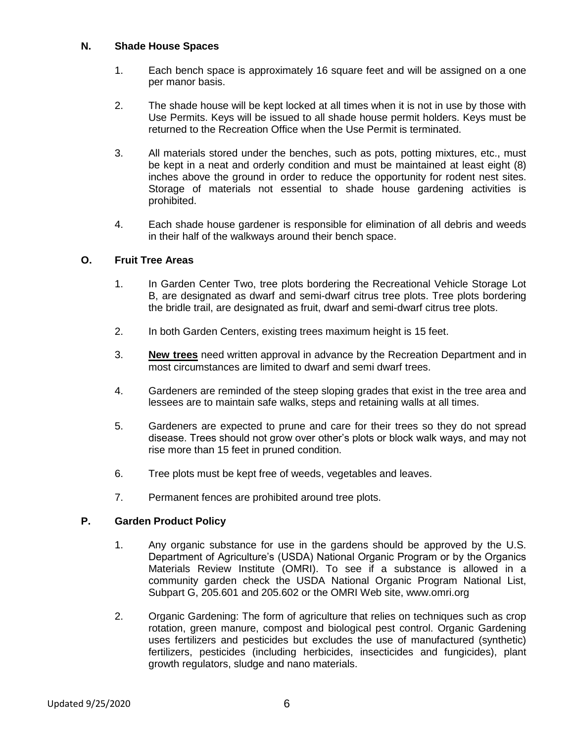### **N. Shade House Spaces**

- 1. Each bench space is approximately 16 square feet and will be assigned on a one per manor basis.
- 2. The shade house will be kept locked at all times when it is not in use by those with Use Permits. Keys will be issued to all shade house permit holders. Keys must be returned to the Recreation Office when the Use Permit is terminated.
- 3. All materials stored under the benches, such as pots, potting mixtures, etc., must be kept in a neat and orderly condition and must be maintained at least eight (8) inches above the ground in order to reduce the opportunity for rodent nest sites. Storage of materials not essential to shade house gardening activities is prohibited.
- 4. Each shade house gardener is responsible for elimination of all debris and weeds in their half of the walkways around their bench space.

### **O. Fruit Tree Areas**

- 1. In Garden Center Two, tree plots bordering the Recreational Vehicle Storage Lot B, are designated as dwarf and semi-dwarf citrus tree plots. Tree plots bordering the bridle trail, are designated as fruit, dwarf and semi-dwarf citrus tree plots.
- 2. In both Garden Centers, existing trees maximum height is 15 feet.
- 3. **New trees** need written approval in advance by the Recreation Department and in most circumstances are limited to dwarf and semi dwarf trees.
- 4. Gardeners are reminded of the steep sloping grades that exist in the tree area and lessees are to maintain safe walks, steps and retaining walls at all times.
- 5. Gardeners are expected to prune and care for their trees so they do not spread disease. Trees should not grow over other's plots or block walk ways, and may not rise more than 15 feet in pruned condition.
- 6. Tree plots must be kept free of weeds, vegetables and leaves.
- 7. Permanent fences are prohibited around tree plots.

### **P. Garden Product Policy**

- 1. Any organic substance for use in the gardens should be approved by the U.S. Department of Agriculture's (USDA) National Organic Program or by the Organics Materials Review Institute (OMRI). To see if a substance is allowed in a community garden check the USDA National Organic Program National List, Subpart G, 205.601 and 205.602 or the OMRI Web site, www.omri.org
- 2. Organic Gardening: The form of agriculture that relies on techniques such as crop rotation, green manure, compost and biological pest control. Organic Gardening uses fertilizers and pesticides but excludes the use of manufactured (synthetic) fertilizers, pesticides (including herbicides, insecticides and fungicides), plant growth regulators, sludge and nano materials.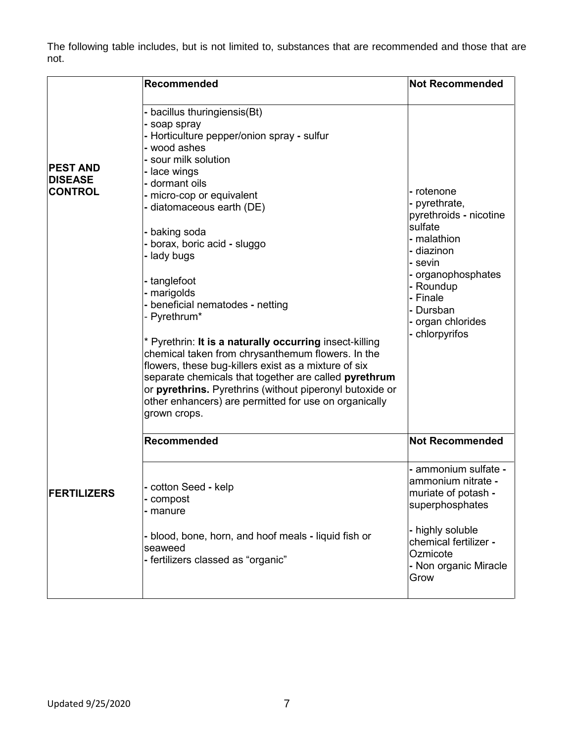The following table includes, but is not limited to, substances that are recommended and those that are not.

| Recommended                                                                                                                                                                                                                                                                                                                                                                                                                                                                                                                                                                                                                                                                                                                                             | <b>Not Recommended</b>                                                                                                                                                                                      |
|---------------------------------------------------------------------------------------------------------------------------------------------------------------------------------------------------------------------------------------------------------------------------------------------------------------------------------------------------------------------------------------------------------------------------------------------------------------------------------------------------------------------------------------------------------------------------------------------------------------------------------------------------------------------------------------------------------------------------------------------------------|-------------------------------------------------------------------------------------------------------------------------------------------------------------------------------------------------------------|
| - bacillus thuringiensis(Bt)<br>- soap spray<br>- Horticulture pepper/onion spray - sulfur<br>- wood ashes<br>- sour milk solution<br>- lace wings<br>- dormant oils<br>- micro-cop or equivalent<br>- diatomaceous earth (DE)<br>- baking soda<br>- borax, boric acid - sluggo<br>- lady bugs<br>- tanglefoot<br>- marigolds<br>- beneficial nematodes - netting<br>- Pyrethrum*<br>* Pyrethrin: It is a naturally occurring insect-killing<br>chemical taken from chrysanthemum flowers. In the<br>flowers, these bug-killers exist as a mixture of six<br>separate chemicals that together are called pyrethrum<br>or pyrethrins. Pyrethrins (without piperonyl butoxide or<br>other enhancers) are permitted for use on organically<br>grown crops. | - rotenone<br>- pyrethrate,<br>pyrethroids - nicotine<br>sulfate<br>- malathion<br>- diazinon<br>- sevin<br>- organophosphates<br>- Roundup<br>- Finale<br>- Dursban<br>- organ chlorides<br>- chlorpyrifos |
| Recommended                                                                                                                                                                                                                                                                                                                                                                                                                                                                                                                                                                                                                                                                                                                                             | <b>Not Recommended</b>                                                                                                                                                                                      |
| - cotton Seed - kelp<br>- compost<br>- manure<br>- blood, bone, horn, and hoof meals - liquid fish or<br>seaweed<br>- fertilizers classed as "organic"                                                                                                                                                                                                                                                                                                                                                                                                                                                                                                                                                                                                  | - ammonium sulfate -<br>ammonium nitrate -<br>muriate of potash -<br>superphosphates<br>- highly soluble<br>chemical fertilizer -<br>Ozmicote<br>- Non organic Miracle<br>Grow                              |
|                                                                                                                                                                                                                                                                                                                                                                                                                                                                                                                                                                                                                                                                                                                                                         |                                                                                                                                                                                                             |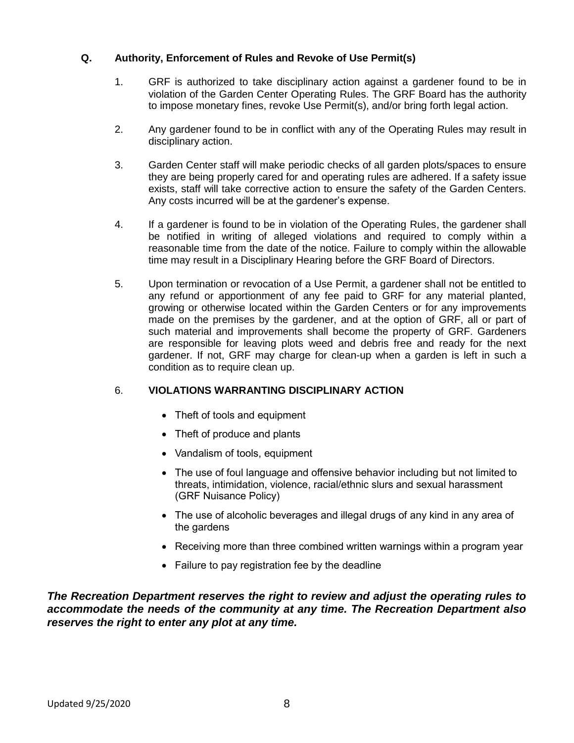### **Q. Authority, Enforcement of Rules and Revoke of Use Permit(s)**

- 1. GRF is authorized to take disciplinary action against a gardener found to be in violation of the Garden Center Operating Rules. The GRF Board has the authority to impose monetary fines, revoke Use Permit(s), and/or bring forth legal action.
- 2. Any gardener found to be in conflict with any of the Operating Rules may result in disciplinary action.
- 3. Garden Center staff will make periodic checks of all garden plots/spaces to ensure they are being properly cared for and operating rules are adhered. If a safety issue exists, staff will take corrective action to ensure the safety of the Garden Centers. Any costs incurred will be at the gardener's expense.
- 4. If a gardener is found to be in violation of the Operating Rules, the gardener shall be notified in writing of alleged violations and required to comply within a reasonable time from the date of the notice. Failure to comply within the allowable time may result in a Disciplinary Hearing before the GRF Board of Directors.
- 5. Upon termination or revocation of a Use Permit, a gardener shall not be entitled to any refund or apportionment of any fee paid to GRF for any material planted, growing or otherwise located within the Garden Centers or for any improvements made on the premises by the gardener, and at the option of GRF, all or part of such material and improvements shall become the property of GRF. Gardeners are responsible for leaving plots weed and debris free and ready for the next gardener. If not, GRF may charge for clean-up when a garden is left in such a condition as to require clean up.

# 6. **VIOLATIONS WARRANTING DISCIPLINARY ACTION**

- Theft of tools and equipment
- Theft of produce and plants
- Vandalism of tools, equipment
- The use of foul language and offensive behavior including but not limited to threats, intimidation, violence, racial/ethnic slurs and sexual harassment (GRF Nuisance Policy)
- The use of alcoholic beverages and illegal drugs of any kind in any area of the gardens
- Receiving more than three combined written warnings within a program year
- Failure to pay registration fee by the deadline

*The Recreation Department reserves the right to review and adjust the operating rules to accommodate the needs of the community at any time. The Recreation Department also reserves the right to enter any plot at any time.*